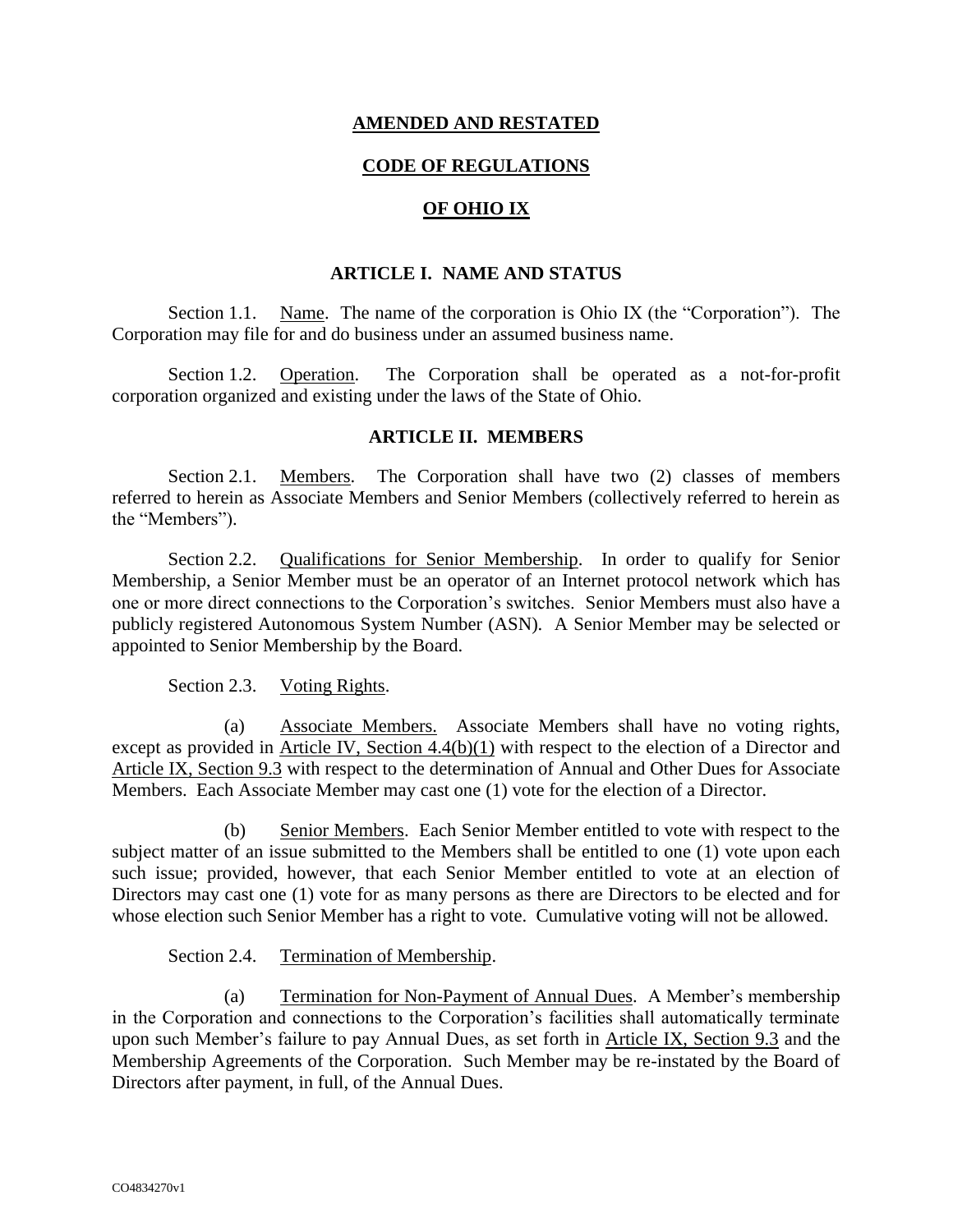## **AMENDED AND RESTATED**

## **CODE OF REGULATIONS**

# **OF OHIO IX**

## **ARTICLE I. NAME AND STATUS**

Section 1.1. Name. The name of the corporation is Ohio IX (the "Corporation"). The Corporation may file for and do business under an assumed business name.

Section 1.2. Operation. The Corporation shall be operated as a not-for-profit corporation organized and existing under the laws of the State of Ohio.

### **ARTICLE II. MEMBERS**

Section 2.1. Members. The Corporation shall have two (2) classes of members referred to herein as Associate Members and Senior Members (collectively referred to herein as the "Members").

Section 2.2. Qualifications for Senior Membership. In order to qualify for Senior Membership, a Senior Member must be an operator of an Internet protocol network which has one or more direct connections to the Corporation's switches. Senior Members must also have a publicly registered Autonomous System Number (ASN). A Senior Member may be selected or appointed to Senior Membership by the Board.

Section 2.3. Voting Rights.

(a) Associate Members. Associate Members shall have no voting rights, except as provided in <u>Article IV, Section 4.4(b)(1)</u> with respect to the election of a Director and Article IX, Section 9.3 with respect to the determination of Annual and Other Dues for Associate Members. Each Associate Member may cast one (1) vote for the election of a Director.

(b) Senior Members. Each Senior Member entitled to vote with respect to the subject matter of an issue submitted to the Members shall be entitled to one (1) vote upon each such issue; provided, however, that each Senior Member entitled to vote at an election of Directors may cast one (1) vote for as many persons as there are Directors to be elected and for whose election such Senior Member has a right to vote. Cumulative voting will not be allowed.

Section 2.4. Termination of Membership.

(a) Termination for Non-Payment of Annual Dues. A Member's membership in the Corporation and connections to the Corporation's facilities shall automatically terminate upon such Member's failure to pay Annual Dues, as set forth in Article IX, Section 9.3 and the Membership Agreements of the Corporation. Such Member may be re-instated by the Board of Directors after payment, in full, of the Annual Dues.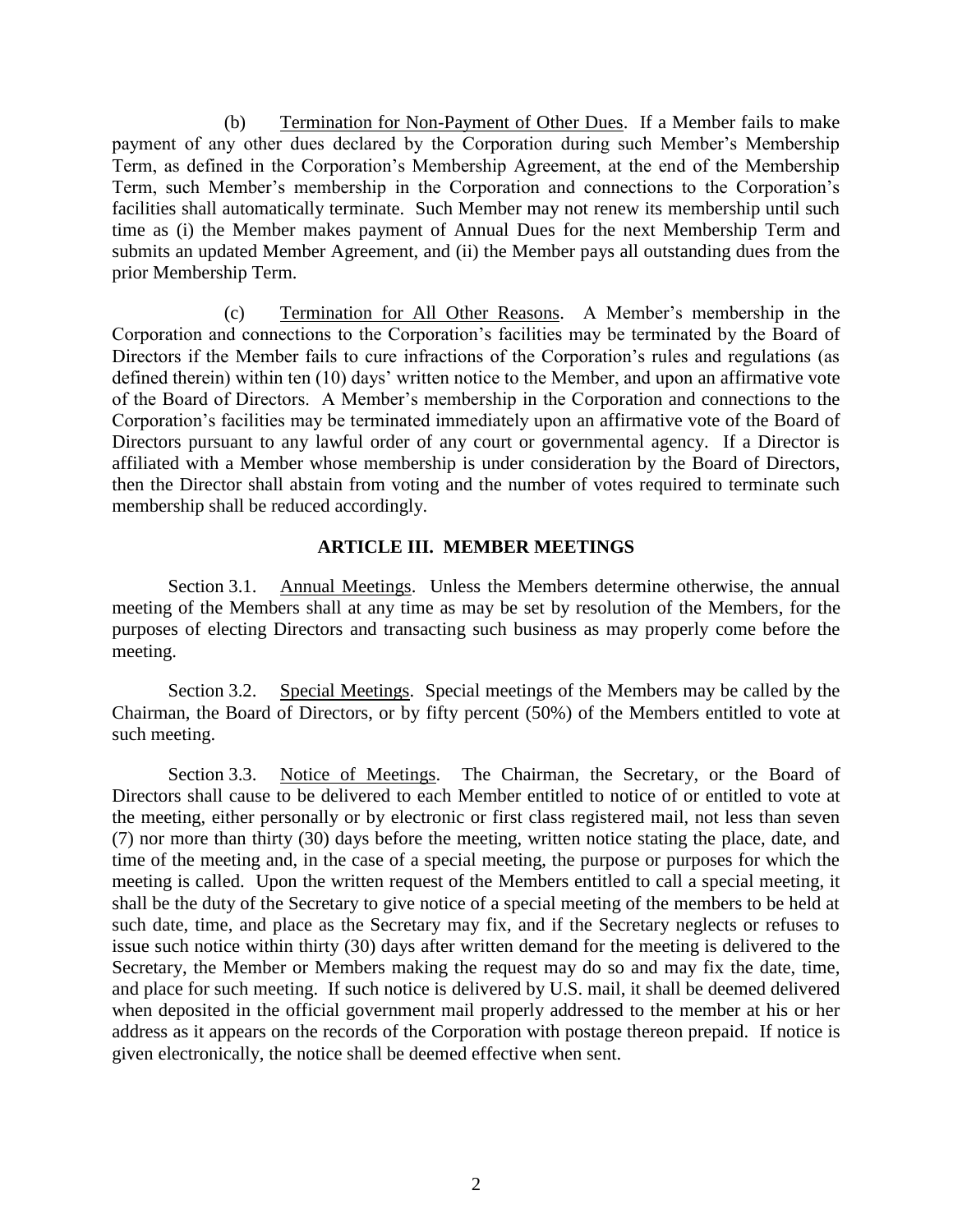(b) Termination for Non-Payment of Other Dues. If a Member fails to make payment of any other dues declared by the Corporation during such Member's Membership Term, as defined in the Corporation's Membership Agreement, at the end of the Membership Term, such Member's membership in the Corporation and connections to the Corporation's facilities shall automatically terminate. Such Member may not renew its membership until such time as (i) the Member makes payment of Annual Dues for the next Membership Term and submits an updated Member Agreement, and (ii) the Member pays all outstanding dues from the prior Membership Term.

(c) Termination for All Other Reasons. A Member's membership in the Corporation and connections to the Corporation's facilities may be terminated by the Board of Directors if the Member fails to cure infractions of the Corporation's rules and regulations (as defined therein) within ten (10) days' written notice to the Member, and upon an affirmative vote of the Board of Directors. A Member's membership in the Corporation and connections to the Corporation's facilities may be terminated immediately upon an affirmative vote of the Board of Directors pursuant to any lawful order of any court or governmental agency. If a Director is affiliated with a Member whose membership is under consideration by the Board of Directors, then the Director shall abstain from voting and the number of votes required to terminate such membership shall be reduced accordingly.

### **ARTICLE III. MEMBER MEETINGS**

Section 3.1. Annual Meetings. Unless the Members determine otherwise, the annual meeting of the Members shall at any time as may be set by resolution of the Members, for the purposes of electing Directors and transacting such business as may properly come before the meeting.

Section 3.2. Special Meetings. Special meetings of the Members may be called by the Chairman, the Board of Directors, or by fifty percent (50%) of the Members entitled to vote at such meeting.

Section 3.3. Notice of Meetings. The Chairman, the Secretary, or the Board of Directors shall cause to be delivered to each Member entitled to notice of or entitled to vote at the meeting, either personally or by electronic or first class registered mail, not less than seven (7) nor more than thirty (30) days before the meeting, written notice stating the place, date, and time of the meeting and, in the case of a special meeting, the purpose or purposes for which the meeting is called. Upon the written request of the Members entitled to call a special meeting, it shall be the duty of the Secretary to give notice of a special meeting of the members to be held at such date, time, and place as the Secretary may fix, and if the Secretary neglects or refuses to issue such notice within thirty (30) days after written demand for the meeting is delivered to the Secretary, the Member or Members making the request may do so and may fix the date, time, and place for such meeting. If such notice is delivered by U.S. mail, it shall be deemed delivered when deposited in the official government mail properly addressed to the member at his or her address as it appears on the records of the Corporation with postage thereon prepaid. If notice is given electronically, the notice shall be deemed effective when sent.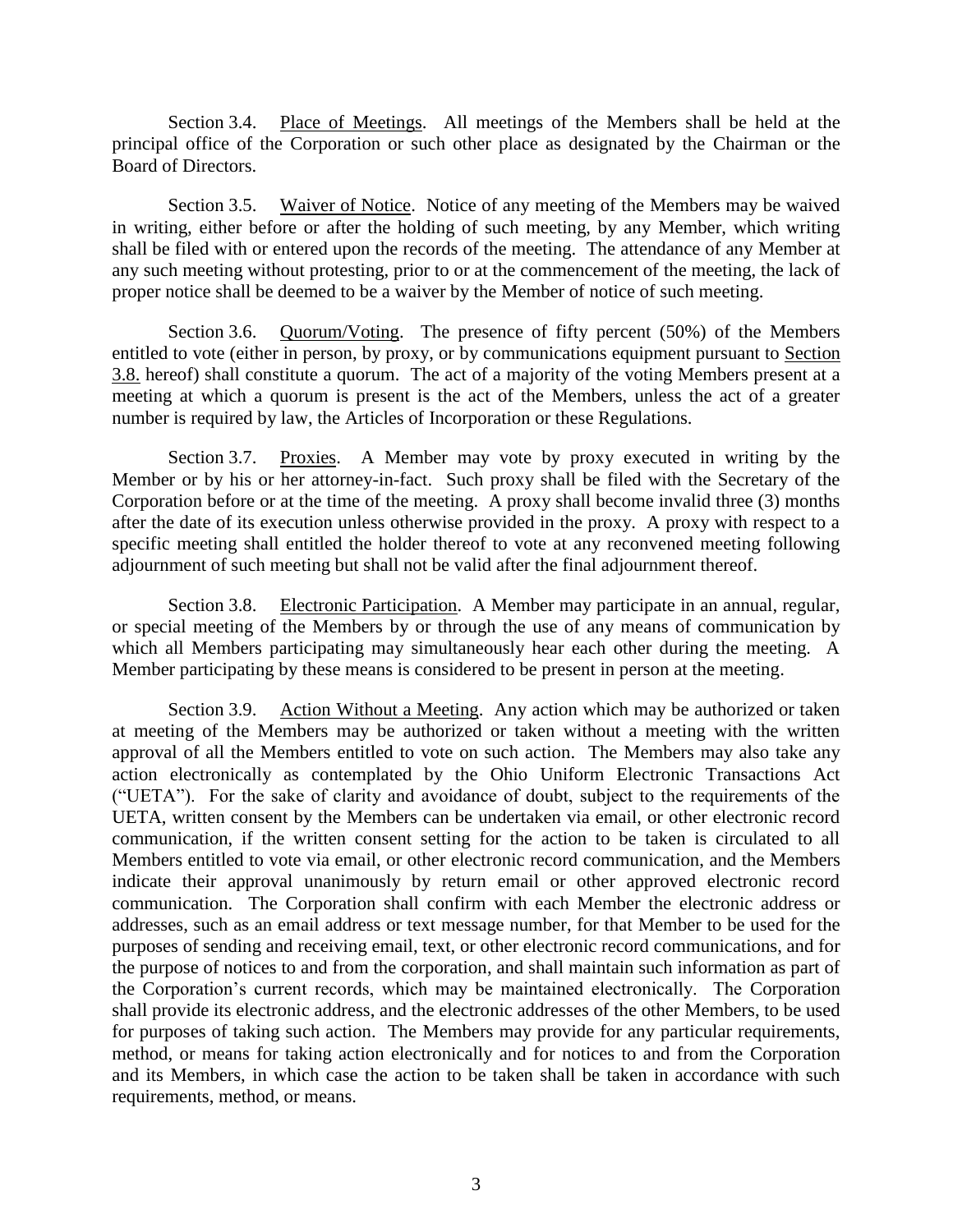Section 3.4. Place of Meetings. All meetings of the Members shall be held at the principal office of the Corporation or such other place as designated by the Chairman or the Board of Directors.

Section 3.5. Waiver of Notice. Notice of any meeting of the Members may be waived in writing, either before or after the holding of such meeting, by any Member, which writing shall be filed with or entered upon the records of the meeting. The attendance of any Member at any such meeting without protesting, prior to or at the commencement of the meeting, the lack of proper notice shall be deemed to be a waiver by the Member of notice of such meeting.

Section 3.6. Quorum/Voting. The presence of fifty percent (50%) of the Members entitled to vote (either in person, by proxy, or by communications equipment pursuant to Section 3.8. hereof) shall constitute a quorum. The act of a majority of the voting Members present at a meeting at which a quorum is present is the act of the Members, unless the act of a greater number is required by law, the Articles of Incorporation or these Regulations.

Section 3.7. Proxies. A Member may vote by proxy executed in writing by the Member or by his or her attorney-in-fact. Such proxy shall be filed with the Secretary of the Corporation before or at the time of the meeting. A proxy shall become invalid three (3) months after the date of its execution unless otherwise provided in the proxy. A proxy with respect to a specific meeting shall entitled the holder thereof to vote at any reconvened meeting following adjournment of such meeting but shall not be valid after the final adjournment thereof.

Section 3.8. Electronic Participation. A Member may participate in an annual, regular, or special meeting of the Members by or through the use of any means of communication by which all Members participating may simultaneously hear each other during the meeting. A Member participating by these means is considered to be present in person at the meeting.

Section 3.9. Action Without a Meeting. Any action which may be authorized or taken at meeting of the Members may be authorized or taken without a meeting with the written approval of all the Members entitled to vote on such action. The Members may also take any action electronically as contemplated by the Ohio Uniform Electronic Transactions Act ("UETA"). For the sake of clarity and avoidance of doubt, subject to the requirements of the UETA, written consent by the Members can be undertaken via email, or other electronic record communication, if the written consent setting for the action to be taken is circulated to all Members entitled to vote via email, or other electronic record communication, and the Members indicate their approval unanimously by return email or other approved electronic record communication. The Corporation shall confirm with each Member the electronic address or addresses, such as an email address or text message number, for that Member to be used for the purposes of sending and receiving email, text, or other electronic record communications, and for the purpose of notices to and from the corporation, and shall maintain such information as part of the Corporation's current records, which may be maintained electronically. The Corporation shall provide its electronic address, and the electronic addresses of the other Members, to be used for purposes of taking such action. The Members may provide for any particular requirements, method, or means for taking action electronically and for notices to and from the Corporation and its Members, in which case the action to be taken shall be taken in accordance with such requirements, method, or means.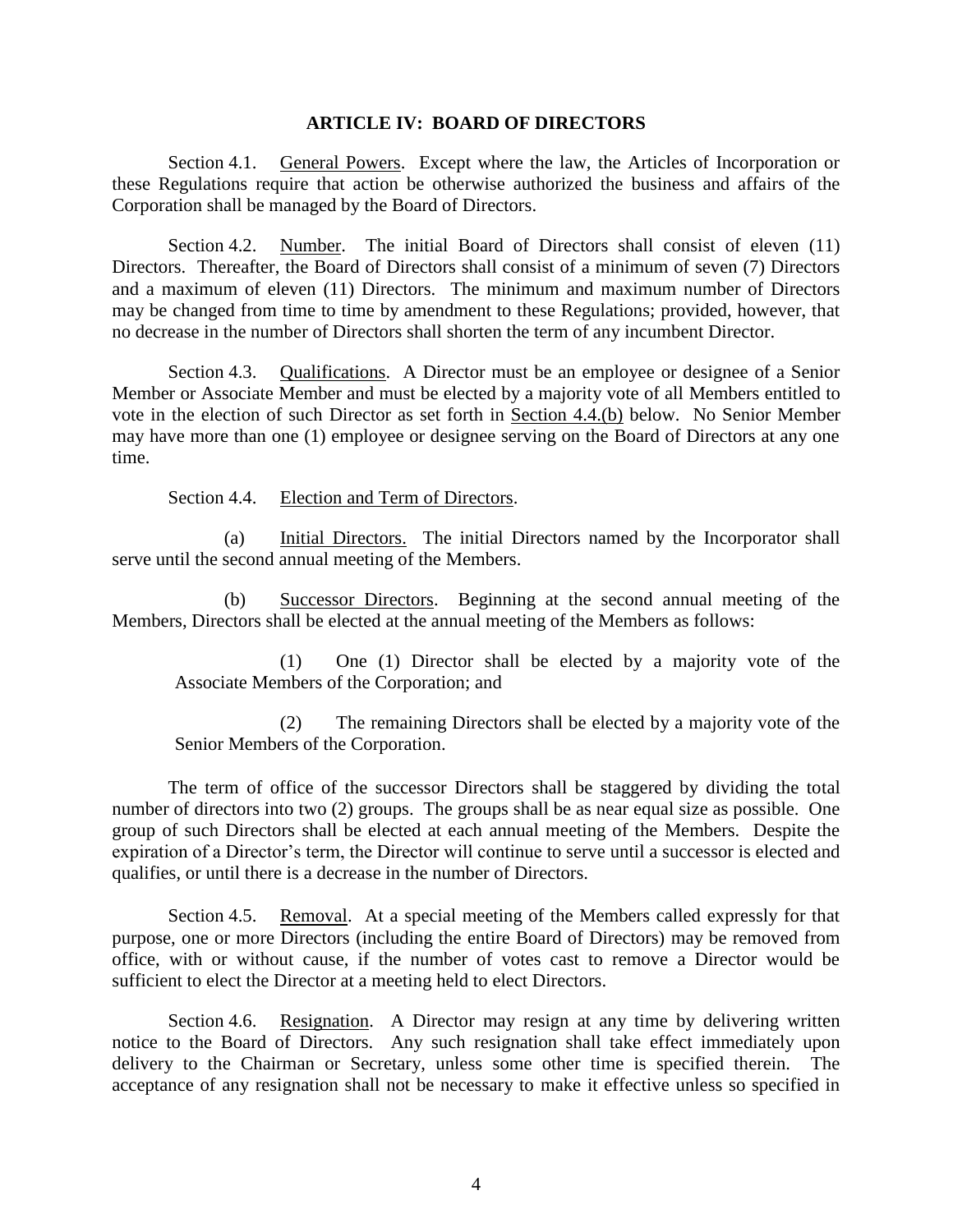### **ARTICLE IV: BOARD OF DIRECTORS**

Section 4.1. General Powers. Except where the law, the Articles of Incorporation or these Regulations require that action be otherwise authorized the business and affairs of the Corporation shall be managed by the Board of Directors.

Section 4.2. Number. The initial Board of Directors shall consist of eleven (11) Directors. Thereafter, the Board of Directors shall consist of a minimum of seven (7) Directors and a maximum of eleven (11) Directors. The minimum and maximum number of Directors may be changed from time to time by amendment to these Regulations; provided, however, that no decrease in the number of Directors shall shorten the term of any incumbent Director.

Section 4.3. Qualifications. A Director must be an employee or designee of a Senior Member or Associate Member and must be elected by a majority vote of all Members entitled to vote in the election of such Director as set forth in Section 4.4.(b) below. No Senior Member may have more than one (1) employee or designee serving on the Board of Directors at any one time.

Section 4.4. Election and Term of Directors.

(a) Initial Directors. The initial Directors named by the Incorporator shall serve until the second annual meeting of the Members.

(b) Successor Directors. Beginning at the second annual meeting of the Members, Directors shall be elected at the annual meeting of the Members as follows:

(1) One (1) Director shall be elected by a majority vote of the Associate Members of the Corporation; and

(2) The remaining Directors shall be elected by a majority vote of the Senior Members of the Corporation.

The term of office of the successor Directors shall be staggered by dividing the total number of directors into two (2) groups. The groups shall be as near equal size as possible. One group of such Directors shall be elected at each annual meeting of the Members. Despite the expiration of a Director's term, the Director will continue to serve until a successor is elected and qualifies, or until there is a decrease in the number of Directors.

Section 4.5. Removal. At a special meeting of the Members called expressly for that purpose, one or more Directors (including the entire Board of Directors) may be removed from office, with or without cause, if the number of votes cast to remove a Director would be sufficient to elect the Director at a meeting held to elect Directors.

Section 4.6. Resignation. A Director may resign at any time by delivering written notice to the Board of Directors. Any such resignation shall take effect immediately upon delivery to the Chairman or Secretary, unless some other time is specified therein. The acceptance of any resignation shall not be necessary to make it effective unless so specified in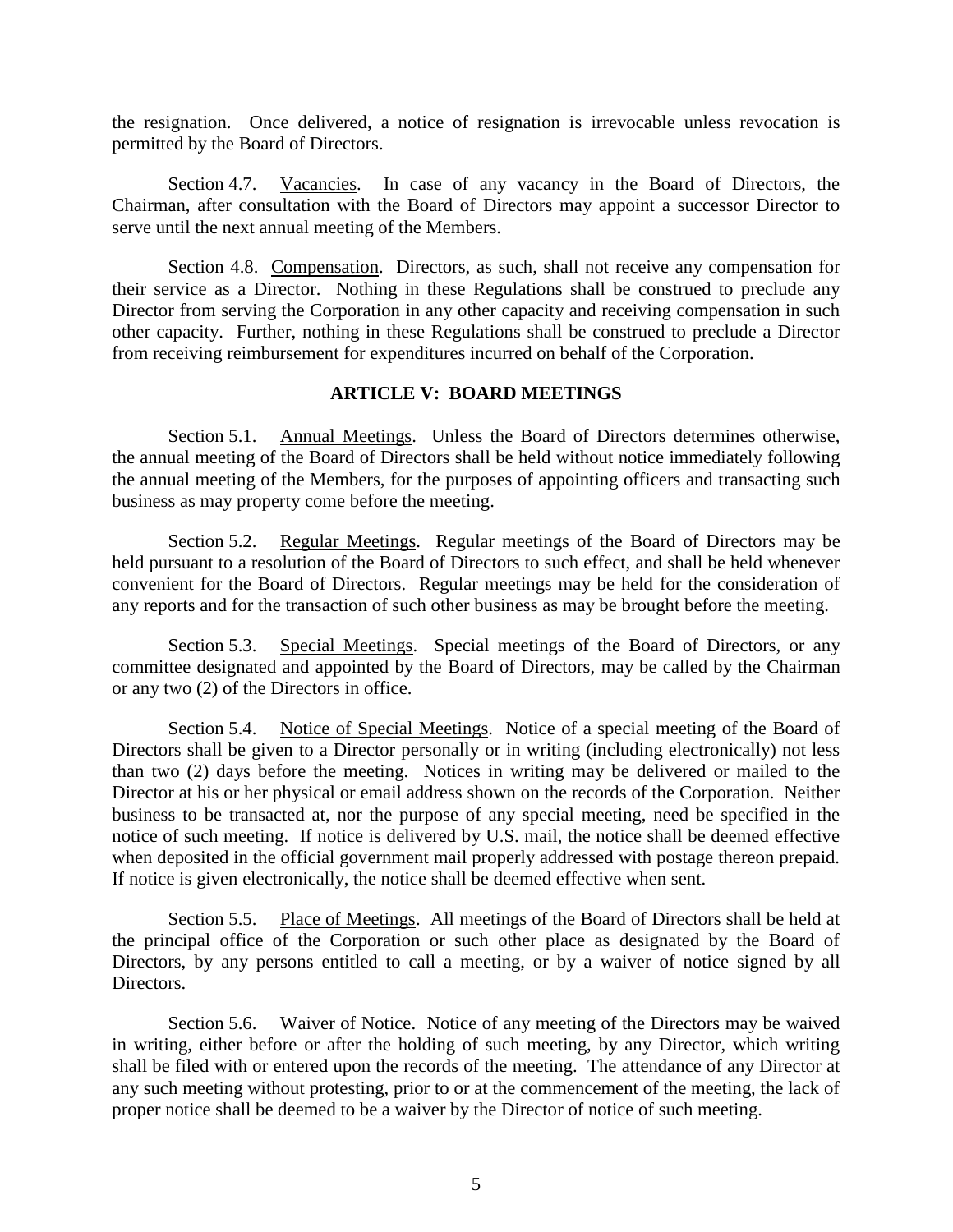the resignation. Once delivered, a notice of resignation is irrevocable unless revocation is permitted by the Board of Directors.

Section 4.7. Vacancies. In case of any vacancy in the Board of Directors, the Chairman, after consultation with the Board of Directors may appoint a successor Director to serve until the next annual meeting of the Members.

Section 4.8. Compensation. Directors, as such, shall not receive any compensation for their service as a Director. Nothing in these Regulations shall be construed to preclude any Director from serving the Corporation in any other capacity and receiving compensation in such other capacity. Further, nothing in these Regulations shall be construed to preclude a Director from receiving reimbursement for expenditures incurred on behalf of the Corporation.

### **ARTICLE V: BOARD MEETINGS**

Section 5.1. Annual Meetings. Unless the Board of Directors determines otherwise, the annual meeting of the Board of Directors shall be held without notice immediately following the annual meeting of the Members, for the purposes of appointing officers and transacting such business as may property come before the meeting.

Section 5.2. Regular Meetings. Regular meetings of the Board of Directors may be held pursuant to a resolution of the Board of Directors to such effect, and shall be held whenever convenient for the Board of Directors. Regular meetings may be held for the consideration of any reports and for the transaction of such other business as may be brought before the meeting.

Section 5.3. Special Meetings. Special meetings of the Board of Directors, or any committee designated and appointed by the Board of Directors, may be called by the Chairman or any two (2) of the Directors in office.

Section 5.4. Notice of Special Meetings. Notice of a special meeting of the Board of Directors shall be given to a Director personally or in writing (including electronically) not less than two (2) days before the meeting. Notices in writing may be delivered or mailed to the Director at his or her physical or email address shown on the records of the Corporation. Neither business to be transacted at, nor the purpose of any special meeting, need be specified in the notice of such meeting. If notice is delivered by U.S. mail, the notice shall be deemed effective when deposited in the official government mail properly addressed with postage thereon prepaid. If notice is given electronically, the notice shall be deemed effective when sent.

Section 5.5. Place of Meetings. All meetings of the Board of Directors shall be held at the principal office of the Corporation or such other place as designated by the Board of Directors, by any persons entitled to call a meeting, or by a waiver of notice signed by all Directors.

Section 5.6. Waiver of Notice. Notice of any meeting of the Directors may be waived in writing, either before or after the holding of such meeting, by any Director, which writing shall be filed with or entered upon the records of the meeting. The attendance of any Director at any such meeting without protesting, prior to or at the commencement of the meeting, the lack of proper notice shall be deemed to be a waiver by the Director of notice of such meeting.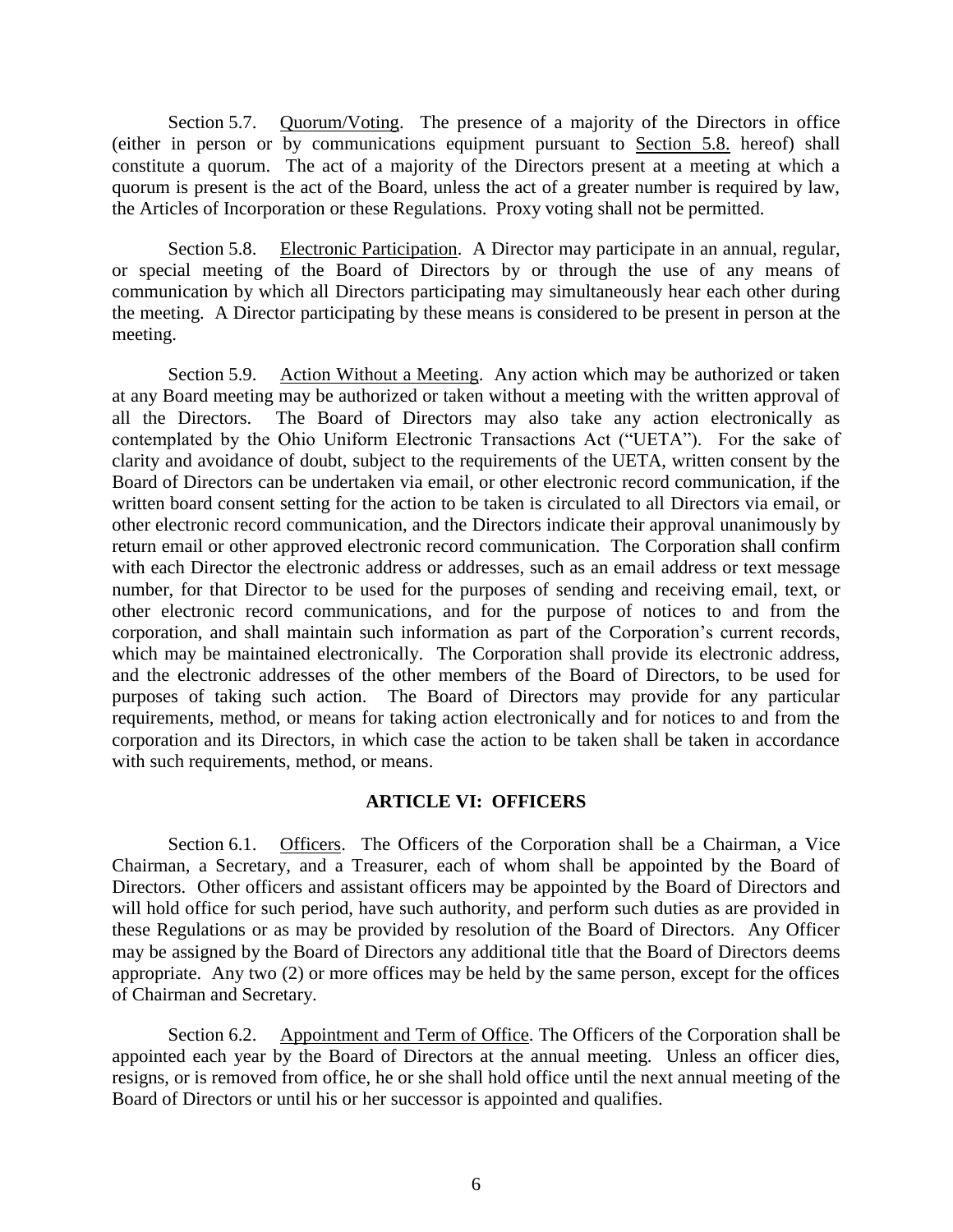Section 5.7. Quorum/Voting. The presence of a majority of the Directors in office (either in person or by communications equipment pursuant to Section 5.8. hereof) shall constitute a quorum. The act of a majority of the Directors present at a meeting at which a quorum is present is the act of the Board, unless the act of a greater number is required by law, the Articles of Incorporation or these Regulations. Proxy voting shall not be permitted.

Section 5.8. Electronic Participation. A Director may participate in an annual, regular, or special meeting of the Board of Directors by or through the use of any means of communication by which all Directors participating may simultaneously hear each other during the meeting. A Director participating by these means is considered to be present in person at the meeting.

Section 5.9. Action Without a Meeting. Any action which may be authorized or taken at any Board meeting may be authorized or taken without a meeting with the written approval of all the Directors. The Board of Directors may also take any action electronically as contemplated by the Ohio Uniform Electronic Transactions Act ("UETA"). For the sake of clarity and avoidance of doubt, subject to the requirements of the UETA, written consent by the Board of Directors can be undertaken via email, or other electronic record communication, if the written board consent setting for the action to be taken is circulated to all Directors via email, or other electronic record communication, and the Directors indicate their approval unanimously by return email or other approved electronic record communication. The Corporation shall confirm with each Director the electronic address or addresses, such as an email address or text message number, for that Director to be used for the purposes of sending and receiving email, text, or other electronic record communications, and for the purpose of notices to and from the corporation, and shall maintain such information as part of the Corporation's current records, which may be maintained electronically. The Corporation shall provide its electronic address, and the electronic addresses of the other members of the Board of Directors, to be used for purposes of taking such action. The Board of Directors may provide for any particular requirements, method, or means for taking action electronically and for notices to and from the corporation and its Directors, in which case the action to be taken shall be taken in accordance with such requirements, method, or means.

## **ARTICLE VI: OFFICERS**

Section 6.1. Officers. The Officers of the Corporation shall be a Chairman, a Vice Chairman, a Secretary, and a Treasurer, each of whom shall be appointed by the Board of Directors. Other officers and assistant officers may be appointed by the Board of Directors and will hold office for such period, have such authority, and perform such duties as are provided in these Regulations or as may be provided by resolution of the Board of Directors. Any Officer may be assigned by the Board of Directors any additional title that the Board of Directors deems appropriate. Any two (2) or more offices may be held by the same person, except for the offices of Chairman and Secretary.

Section 6.2. Appointment and Term of Office. The Officers of the Corporation shall be appointed each year by the Board of Directors at the annual meeting. Unless an officer dies, resigns, or is removed from office, he or she shall hold office until the next annual meeting of the Board of Directors or until his or her successor is appointed and qualifies.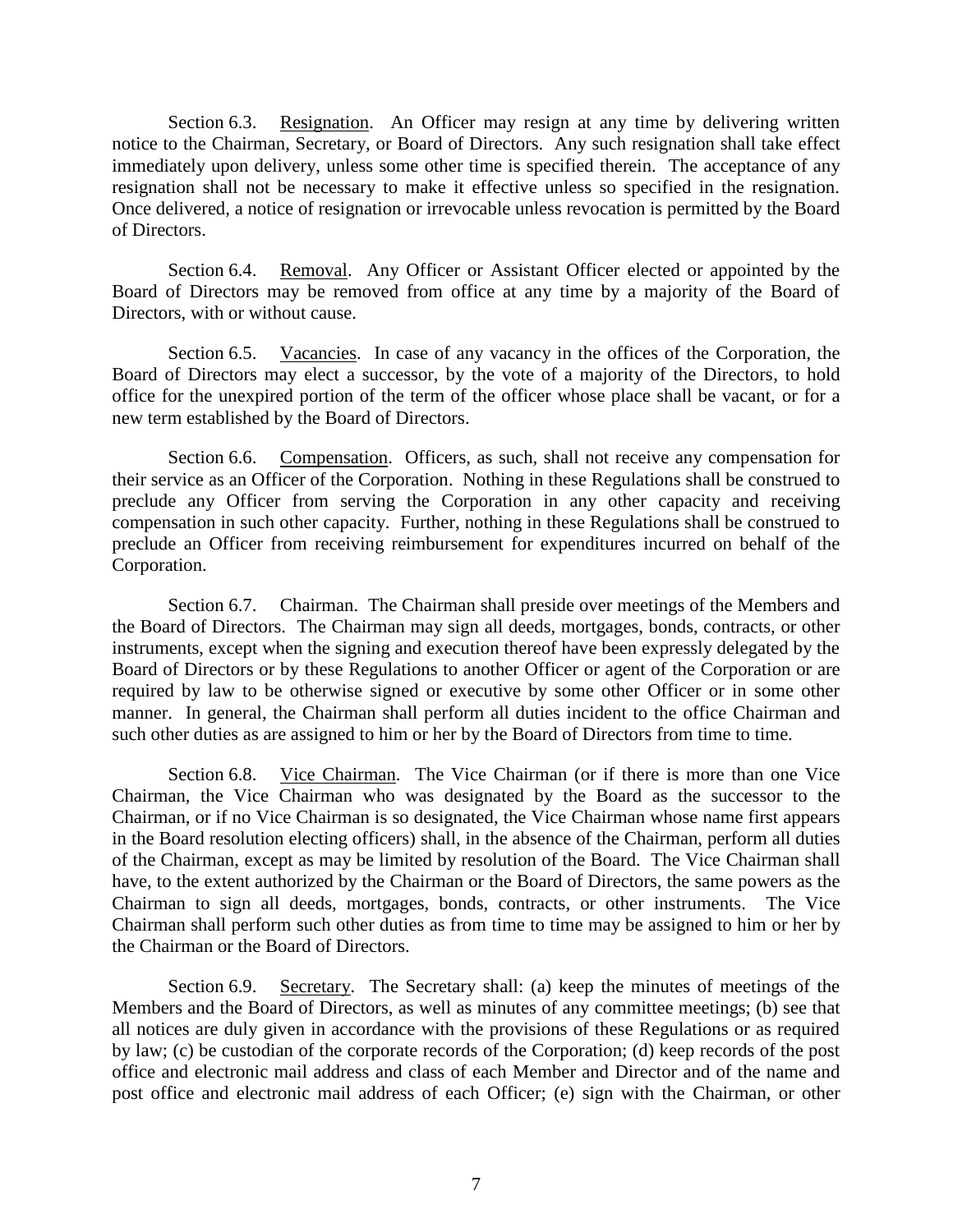Section 6.3. Resignation. An Officer may resign at any time by delivering written notice to the Chairman, Secretary, or Board of Directors. Any such resignation shall take effect immediately upon delivery, unless some other time is specified therein. The acceptance of any resignation shall not be necessary to make it effective unless so specified in the resignation. Once delivered, a notice of resignation or irrevocable unless revocation is permitted by the Board of Directors.

Section 6.4. Removal. Any Officer or Assistant Officer elected or appointed by the Board of Directors may be removed from office at any time by a majority of the Board of Directors, with or without cause.

Section 6.5. Vacancies. In case of any vacancy in the offices of the Corporation, the Board of Directors may elect a successor, by the vote of a majority of the Directors, to hold office for the unexpired portion of the term of the officer whose place shall be vacant, or for a new term established by the Board of Directors.

Section 6.6. Compensation. Officers, as such, shall not receive any compensation for their service as an Officer of the Corporation. Nothing in these Regulations shall be construed to preclude any Officer from serving the Corporation in any other capacity and receiving compensation in such other capacity. Further, nothing in these Regulations shall be construed to preclude an Officer from receiving reimbursement for expenditures incurred on behalf of the Corporation.

Section 6.7. Chairman. The Chairman shall preside over meetings of the Members and the Board of Directors. The Chairman may sign all deeds, mortgages, bonds, contracts, or other instruments, except when the signing and execution thereof have been expressly delegated by the Board of Directors or by these Regulations to another Officer or agent of the Corporation or are required by law to be otherwise signed or executive by some other Officer or in some other manner. In general, the Chairman shall perform all duties incident to the office Chairman and such other duties as are assigned to him or her by the Board of Directors from time to time.

Section 6.8. Vice Chairman. The Vice Chairman (or if there is more than one Vice Chairman, the Vice Chairman who was designated by the Board as the successor to the Chairman, or if no Vice Chairman is so designated, the Vice Chairman whose name first appears in the Board resolution electing officers) shall, in the absence of the Chairman, perform all duties of the Chairman, except as may be limited by resolution of the Board. The Vice Chairman shall have, to the extent authorized by the Chairman or the Board of Directors, the same powers as the Chairman to sign all deeds, mortgages, bonds, contracts, or other instruments. The Vice Chairman shall perform such other duties as from time to time may be assigned to him or her by the Chairman or the Board of Directors.

Section 6.9. Secretary. The Secretary shall: (a) keep the minutes of meetings of the Members and the Board of Directors, as well as minutes of any committee meetings; (b) see that all notices are duly given in accordance with the provisions of these Regulations or as required by law; (c) be custodian of the corporate records of the Corporation; (d) keep records of the post office and electronic mail address and class of each Member and Director and of the name and post office and electronic mail address of each Officer; (e) sign with the Chairman, or other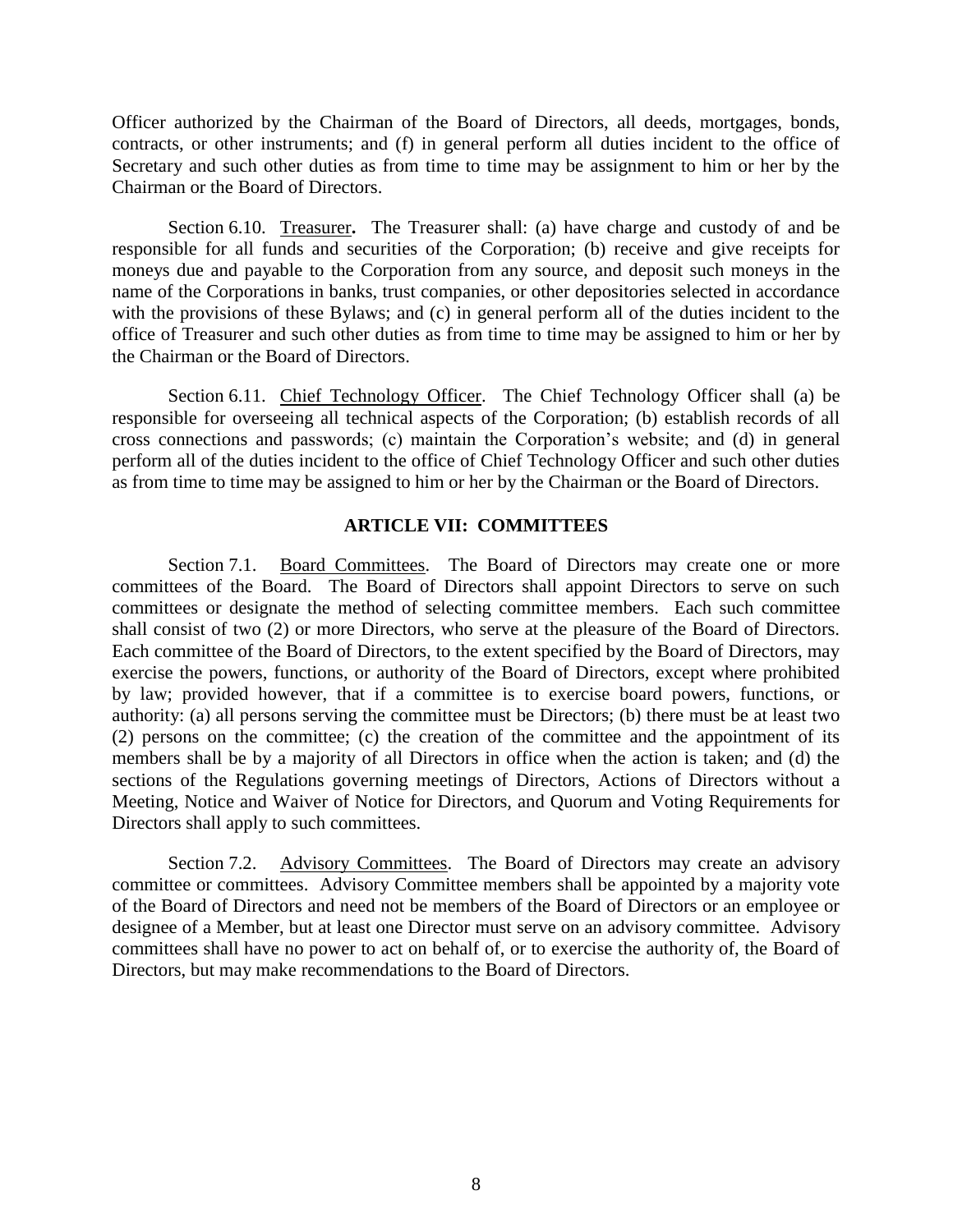Officer authorized by the Chairman of the Board of Directors, all deeds, mortgages, bonds, contracts, or other instruments; and (f) in general perform all duties incident to the office of Secretary and such other duties as from time to time may be assignment to him or her by the Chairman or the Board of Directors.

Section 6.10. Treasurer**.** The Treasurer shall: (a) have charge and custody of and be responsible for all funds and securities of the Corporation; (b) receive and give receipts for moneys due and payable to the Corporation from any source, and deposit such moneys in the name of the Corporations in banks, trust companies, or other depositories selected in accordance with the provisions of these Bylaws; and (c) in general perform all of the duties incident to the office of Treasurer and such other duties as from time to time may be assigned to him or her by the Chairman or the Board of Directors.

Section 6.11. Chief Technology Officer. The Chief Technology Officer shall (a) be responsible for overseeing all technical aspects of the Corporation; (b) establish records of all cross connections and passwords; (c) maintain the Corporation's website; and (d) in general perform all of the duties incident to the office of Chief Technology Officer and such other duties as from time to time may be assigned to him or her by the Chairman or the Board of Directors.

### **ARTICLE VII: COMMITTEES**

Section 7.1. Board Committees. The Board of Directors may create one or more committees of the Board. The Board of Directors shall appoint Directors to serve on such committees or designate the method of selecting committee members. Each such committee shall consist of two (2) or more Directors, who serve at the pleasure of the Board of Directors. Each committee of the Board of Directors, to the extent specified by the Board of Directors, may exercise the powers, functions, or authority of the Board of Directors, except where prohibited by law; provided however, that if a committee is to exercise board powers, functions, or authority: (a) all persons serving the committee must be Directors; (b) there must be at least two (2) persons on the committee; (c) the creation of the committee and the appointment of its members shall be by a majority of all Directors in office when the action is taken; and (d) the sections of the Regulations governing meetings of Directors, Actions of Directors without a Meeting, Notice and Waiver of Notice for Directors, and Quorum and Voting Requirements for Directors shall apply to such committees.

Section 7.2. Advisory Committees. The Board of Directors may create an advisory committee or committees. Advisory Committee members shall be appointed by a majority vote of the Board of Directors and need not be members of the Board of Directors or an employee or designee of a Member, but at least one Director must serve on an advisory committee. Advisory committees shall have no power to act on behalf of, or to exercise the authority of, the Board of Directors, but may make recommendations to the Board of Directors.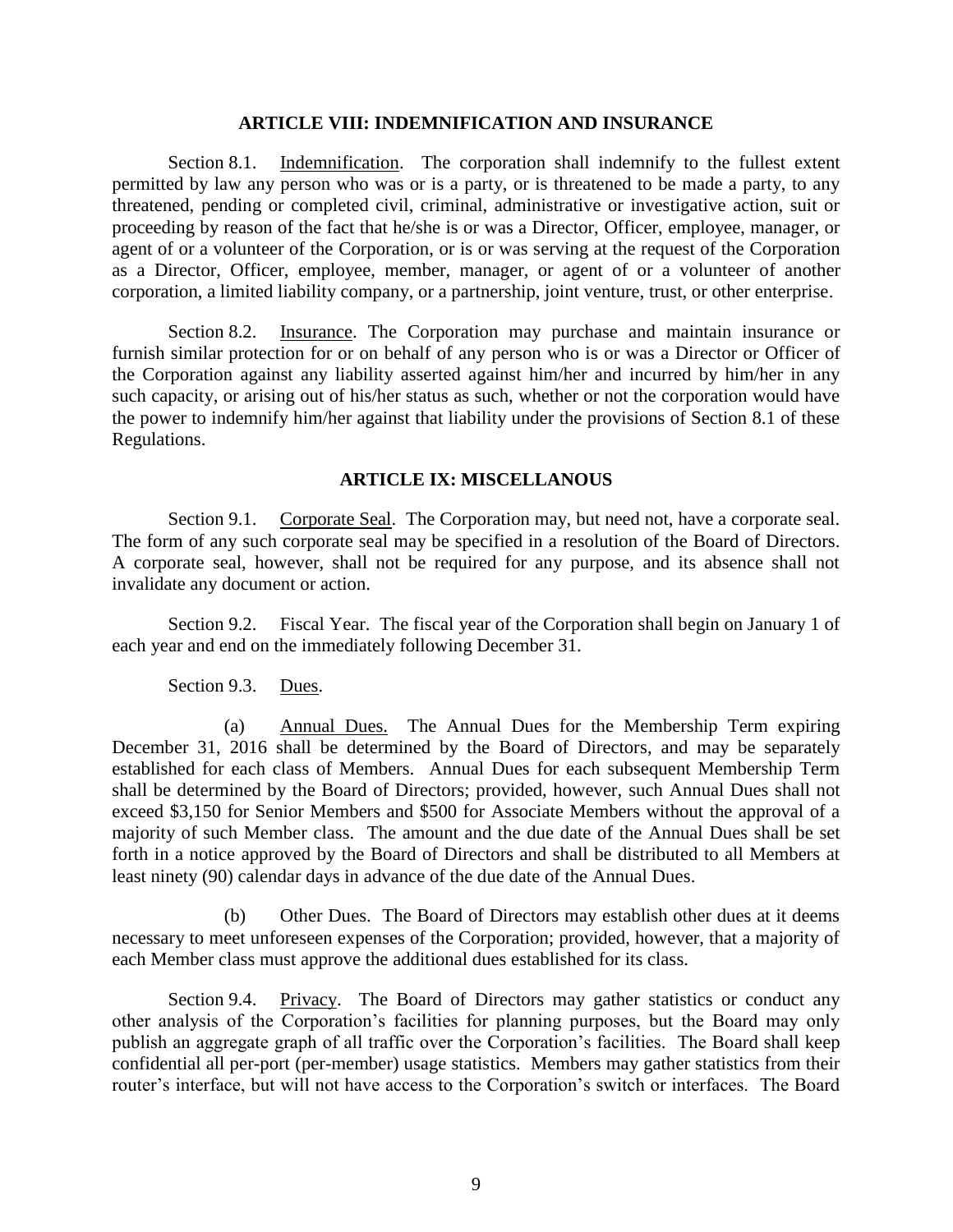### **ARTICLE VIII: INDEMNIFICATION AND INSURANCE**

Section 8.1. Indemnification. The corporation shall indemnify to the fullest extent permitted by law any person who was or is a party, or is threatened to be made a party, to any threatened, pending or completed civil, criminal, administrative or investigative action, suit or proceeding by reason of the fact that he/she is or was a Director, Officer, employee, manager, or agent of or a volunteer of the Corporation, or is or was serving at the request of the Corporation as a Director, Officer, employee, member, manager, or agent of or a volunteer of another corporation, a limited liability company, or a partnership, joint venture, trust, or other enterprise.

Section 8.2. Insurance. The Corporation may purchase and maintain insurance or furnish similar protection for or on behalf of any person who is or was a Director or Officer of the Corporation against any liability asserted against him/her and incurred by him/her in any such capacity, or arising out of his/her status as such, whether or not the corporation would have the power to indemnify him/her against that liability under the provisions of Section 8.1 of these Regulations.

### **ARTICLE IX: MISCELLANOUS**

Section 9.1. Corporate Seal. The Corporation may, but need not, have a corporate seal. The form of any such corporate seal may be specified in a resolution of the Board of Directors. A corporate seal, however, shall not be required for any purpose, and its absence shall not invalidate any document or action.

Section 9.2. Fiscal Year. The fiscal year of the Corporation shall begin on January 1 of each year and end on the immediately following December 31.

### Section 9.3. Dues.

(a) Annual Dues. The Annual Dues for the Membership Term expiring December 31, 2016 shall be determined by the Board of Directors, and may be separately established for each class of Members. Annual Dues for each subsequent Membership Term shall be determined by the Board of Directors; provided, however, such Annual Dues shall not exceed \$3,150 for Senior Members and \$500 for Associate Members without the approval of a majority of such Member class. The amount and the due date of the Annual Dues shall be set forth in a notice approved by the Board of Directors and shall be distributed to all Members at least ninety (90) calendar days in advance of the due date of the Annual Dues.

(b) Other Dues. The Board of Directors may establish other dues at it deems necessary to meet unforeseen expenses of the Corporation; provided, however, that a majority of each Member class must approve the additional dues established for its class.

Section 9.4. Privacy. The Board of Directors may gather statistics or conduct any other analysis of the Corporation's facilities for planning purposes, but the Board may only publish an aggregate graph of all traffic over the Corporation's facilities. The Board shall keep confidential all per-port (per-member) usage statistics. Members may gather statistics from their router's interface, but will not have access to the Corporation's switch or interfaces. The Board